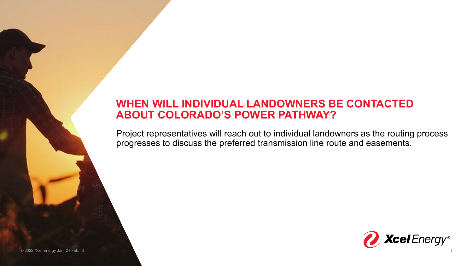# **WHEN WILL INDIVIDUAL LANDOWNERS BE CONTACTED ABOUT COLORADO'S POWER PATHWAY?**

Project representatives will reach out to individual landowners as the routing process progresses to discuss the preferred transmission line route and easements.



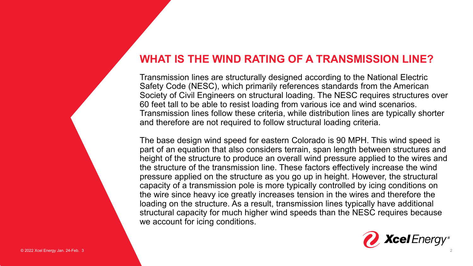# **WHAT IS THE WIND RATING OF A TRANSMISSION LINE?**

Transmission lines are structurally designed according to the National Electric Safety Code (NESC), which primarily references standards from the American Society of Civil Engineers on structural loading. The NESC requires structures over 60 feet tall to be able to resist loading from various ice and wind scenarios. Transmission lines follow these criteria, while distribution lines are typically shorter and therefore are not required to follow structural loading criteria.

The base design wind speed for eastern Colorado is 90 MPH. This wind speed is part of an equation that also considers terrain, span length between structures and height of the structure to produce an overall wind pressure applied to the wires and the structure of the transmission line. These factors effectively increase the wind pressure applied on the structure as you go up in height. However, the structural capacity of a transmission pole is more typically controlled by icing conditions on the wire since heavy ice greatly increases tension in the wires and therefore the loading on the structure. As a result, transmission lines typically have additional structural capacity for much higher wind speeds than the NESC requires because we account for icing conditions.

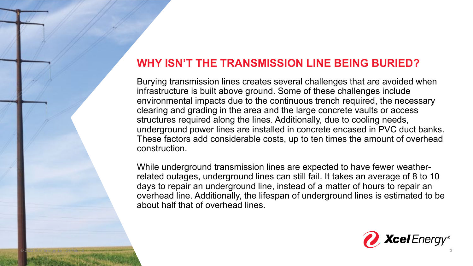# **WHY ISN'T THE TRANSMISSION LINE BEING BURIED?**

Burying transmission lines creates several challenges that are avoided when infrastructure is built above ground. Some of these challenges include environmental impacts due to the continuous trench required, the necessary clearing and grading in the area and the large concrete vaults or access structures required along the lines. Additionally, due to cooling needs, underground power lines are installed in concrete encased in PVC duct banks. These factors add considerable costs, up to ten times the amount of overhead construction.

While underground transmission lines are expected to have fewer weatherrelated outages, underground lines can still fail. It takes an average of 8 to 10 days to repair an underground line, instead of a matter of hours to repair an overhead line. Additionally, the lifespan of underground lines is estimated to be about half that of overhead lines.

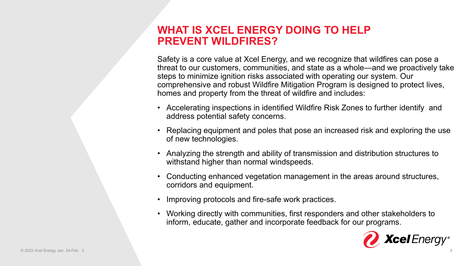## **WHAT IS XCEL ENERGY DOING TO HELP PREVENT WILDFIRES?**

Safety is a core value at Xcel Energy, and we recognize that wildfires can pose a threat to our customers, communities, and state as a whole—and we proactively take steps to minimize ignition risks associated with operating our system. Our comprehensive and robust Wildfire Mitigation Program is designed to protect lives, homes and property from the threat of wildfire and includes:

- Accelerating inspections in identified Wildfire Risk Zones to further identify and address potential safety concerns.
- Replacing equipment and poles that pose an increased risk and exploring the use of new technologies.
- Analyzing the strength and ability of transmission and distribution structures to withstand higher than normal windspeeds.
- Conducting enhanced vegetation management in the areas around structures, corridors and equipment.
- Improving protocols and fire-safe work practices.
- Working directly with communities, first responders and other stakeholders to inform, educate, gather and incorporate feedback for our programs.

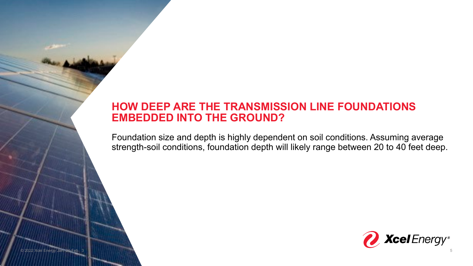# **HOW DEEP ARE THE TRANSMISSION LINE FOUNDATIONS EMBEDDED INTO THE GROUND?**

Foundation size and depth is highly dependent on soil conditions. Assuming average strength-soil conditions, foundation depth will likely range between 20 to 40 feet deep.

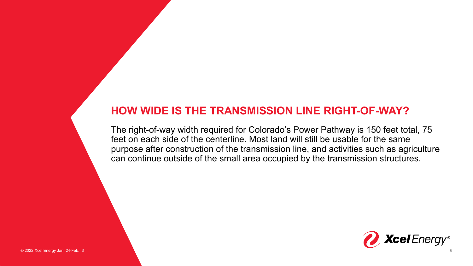## **HOW WIDE IS THE TRANSMISSION LINE RIGHT-OF-WAY?**

The right-of-way width required for Colorado's Power Pathway is 150 feet total, 75 feet on each side of the centerline. Most land will still be usable for the same purpose after construction of the transmission line, and activities such as agriculture can continue outside of the small area occupied by the transmission structures.

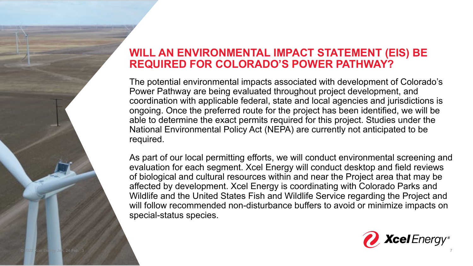## **WILL AN ENVIRONMENTAL IMPACT STATEMENT (EIS) BE REQUIRED FOR COLORADO'S POWER PATHWAY?**

The potential environmental impacts associated with development of Colorado's Power Pathway are being evaluated throughout project development, and coordination with applicable federal, state and local agencies and jurisdictions is ongoing. Once the preferred route for the project has been identified, we will be able to determine the exact permits required for this project. Studies under the National Environmental Policy Act (NEPA) are currently not anticipated to be required.

As part of our local permitting efforts, we will conduct environmental screening and evaluation for each segment. Xcel Energy will conduct desktop and field reviews of biological and cultural resources within and near the Project area that may be affected by development. Xcel Energy is coordinating with Colorado Parks and Wildlife and the United States Fish and Wildlife Service regarding the Project and will follow recommended non-disturbance buffers to avoid or minimize impacts on special-status species.

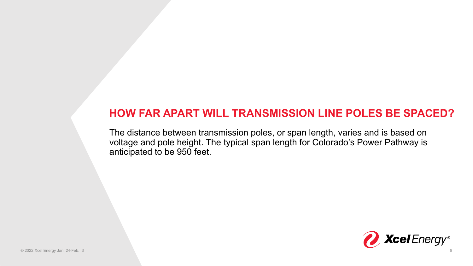#### **HOW FAR APART WILL TRANSMISSION LINE POLES BE SPACED?**

The distance between transmission poles, or span length, varies and is based on voltage and pole height. The typical span length for Colorado's Power Pathway is anticipated to be 950 feet.

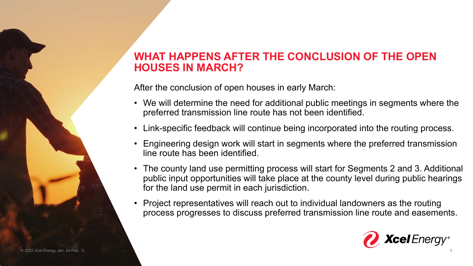# **WHAT HAPPENS AFTER THE CONCLUSION OF THE OPEN HOUSES IN MARCH?**

After the conclusion of open houses in early March:

- We will determine the need for additional public meetings in segments where the preferred transmission line route has not been identified.
- Link-specific feedback will continue being incorporated into the routing process.
- Engineering design work will start in segments where the preferred transmission line route has been identified.
- The county land use permitting process will start for Segments 2 and 3. Additional public input opportunities will take place at the county level during public hearings for the land use permit in each jurisdiction.
- Project representatives will reach out to individual landowners as the routing process progresses to discuss preferred transmission line route and easements.

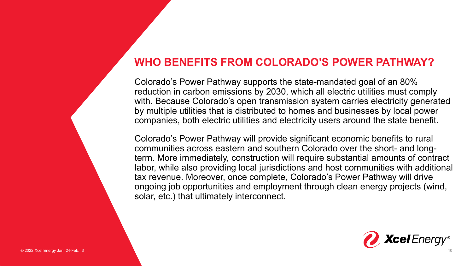# **WHO BENEFITS FROM COLORADO'S POWER PATHWAY?**

Colorado's Power Pathway supports the state-mandated goal of an 80% reduction in carbon emissions by 2030, which all electric utilities must comply with. Because Colorado's open transmission system carries electricity generated by multiple utilities that is distributed to homes and businesses by local power companies, both electric utilities and electricity users around the state benefit.

Colorado's Power Pathway will provide significant economic benefits to rural communities across eastern and southern Colorado over the short- and longterm. More immediately, construction will require substantial amounts of contract labor, while also providing local jurisdictions and host communities with additional tax revenue. Moreover, once complete, Colorado's Power Pathway will drive ongoing job opportunities and employment through clean energy projects (wind, solar, etc.) that ultimately interconnect.

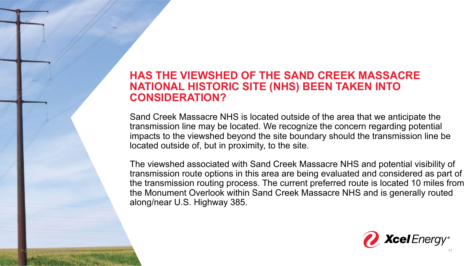# **HAS THE VIEWSHED OF THE SAND CREEK MASSACRE NATIONAL HISTORIC SITE (NHS) BEEN TAKEN INTO CONSIDERATION?**

Sand Creek Massacre NHS is located outside of the area that we anticipate the transmission line may be located. We recognize the concern regarding potential impacts to the viewshed beyond the site boundary should the transmission line be located outside of, but in proximity, to the site.

The viewshed associated with Sand Creek Massacre NHS and potential visibility of transmission route options in this area are being evaluated and considered as part of the transmission routing process. The current preferred route is located 10 miles from the Monument Overlook within Sand Creek Massacre NHS and is generally routed along/near U.S. Highway 385.

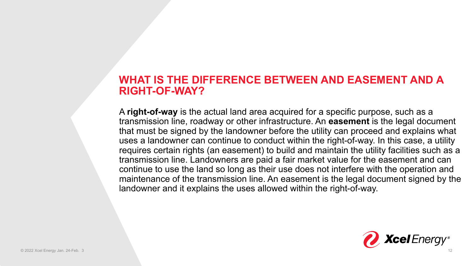# **WHAT IS THE DIFFERENCE BETWEEN AND EASEMENT AND A RIGHT-OF-WAY?**

A **right-of-way** is the actual land area acquired for a specific purpose, such as a transmission line, roadway or other infrastructure. An **easement** is the legal document that must be signed by the landowner before the utility can proceed and explains what uses a landowner can continue to conduct within the right-of-way. In this case, a utility requires certain rights (an easement) to build and maintain the utility facilities such as a transmission line. Landowners are paid a fair market value for the easement and can continue to use the land so long as their use does not interfere with the operation and maintenance of the transmission line. An easement is the legal document signed by the landowner and it explains the uses allowed within the right-of-way.

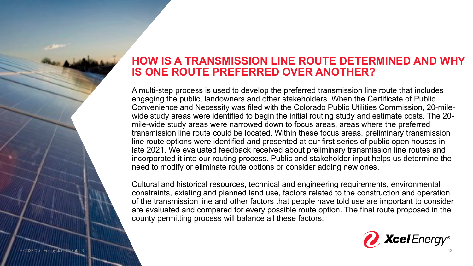## **HOW IS A TRANSMISSION LINE ROUTE DETERMINED AND WHY IS ONE ROUTE PREFERRED OVER ANOTHER?**

A multi-step process is used to develop the preferred transmission line route that includes engaging the public, landowners and other stakeholders. When the Certificate of Public Convenience and Necessity was filed with the Colorado Public Utilities Commission, 20-milewide study areas were identified to begin the initial routing study and estimate costs. The 20 mile-wide study areas were narrowed down to focus areas, areas where the preferred transmission line route could be located. Within these focus areas, preliminary transmission line route options were identified and presented at our first series of public open houses in late 2021. We evaluated feedback received about preliminary transmission line routes and incorporated it into our routing process. Public and stakeholder input helps us determine the need to modify or eliminate route options or consider adding new ones.

Cultural and historical resources, technical and engineering requirements, environmental constraints, existing and planned land use, factors related to the construction and operation of the transmission line and other factors that people have told use are important to consider are evaluated and compared for every possible route option. The final route proposed in the county permitting process will balance all these factors.

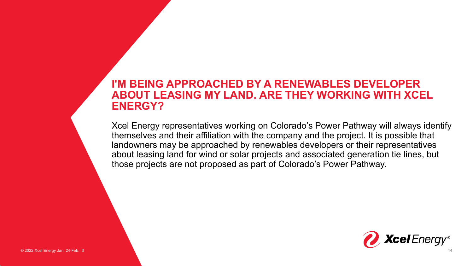## **I'M BEING APPROACHED BY A RENEWABLES DEVELOPER ABOUT LEASING MY LAND. ARE THEY WORKING WITH XCEL ENERGY?**

Xcel Energy representatives working on Colorado's Power Pathway will always identify themselves and their affiliation with the company and the project. It is possible that landowners may be approached by renewables developers or their representatives about leasing land for wind or solar projects and associated generation tie lines, but those projects are not proposed as part of Colorado's Power Pathway.

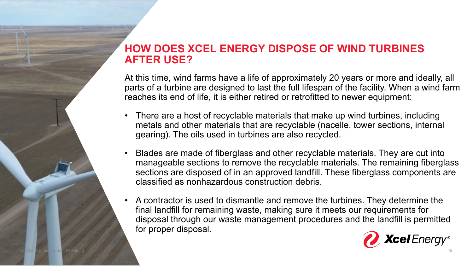# **HOW DOES XCEL ENERGY DISPOSE OF WIND TURBINES AFTER USE?**

At this time, wind farms have a life of approximately 20 years or more and ideally, all parts of a turbine are designed to last the full lifespan of the facility. When a wind farm reaches its end of life, it is either retired or retrofitted to newer equipment:

- There are a host of recyclable materials that make up wind turbines, including metals and other materials that are recyclable (nacelle, tower sections, internal gearing). The oils used in turbines are also recycled.
- Blades are made of fiberglass and other recyclable materials. They are cut into manageable sections to remove the recyclable materials. The remaining fiberglass sections are disposed of in an approved landfill. These fiberglass components are classified as nonhazardous construction debris.
- A contractor is used to dismantle and remove the turbines. They determine the final landfill for remaining waste, making sure it meets our requirements for disposal through our waste management procedures and the landfill is permitted for proper disposal.

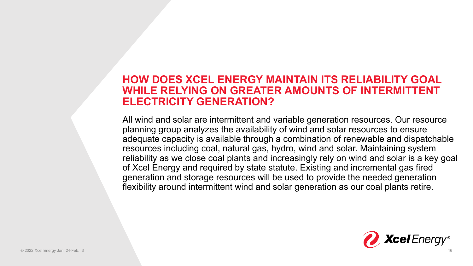## **HOW DOES XCEL ENERGY MAINTAIN ITS RELIABILITY GOAL WHILE RELYING ON GREATER AMOUNTS OF INTERMITTENT ELECTRICITY GENERATION?**

All wind and solar are intermittent and variable generation resources. Our resource planning group analyzes the availability of wind and solar resources to ensure adequate capacity is available through a combination of renewable and dispatchable resources including coal, natural gas, hydro, wind and solar. Maintaining system reliability as we close coal plants and increasingly rely on wind and solar is a key goal of Xcel Energy and required by state statute. Existing and incremental gas fired generation and storage resources will be used to provide the needed generation flexibility around intermittent wind and solar generation as our coal plants retire.

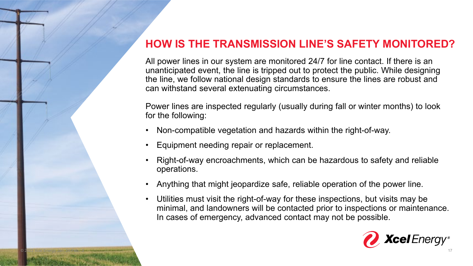# **HOW IS THE TRANSMISSION LINE'S SAFETY MONITORED?**

All power lines in our system are monitored 24/7 for line contact. If there is an unanticipated event, the line is tripped out to protect the public. While designing the line, we follow national design standards to ensure the lines are robust and can withstand several extenuating circumstances.

Power lines are inspected regularly (usually during fall or winter months) to look for the following:

- Non-compatible vegetation and hazards within the right-of-way.
- Equipment needing repair or replacement.
- Right-of-way encroachments, which can be hazardous to safety and reliable operations.
- Anything that might jeopardize safe, reliable operation of the power line.
- Utilities must visit the right-of-way for these inspections, but visits may be minimal, and landowners will be contacted prior to inspections or maintenance. In cases of emergency, advanced contact may not be possible.

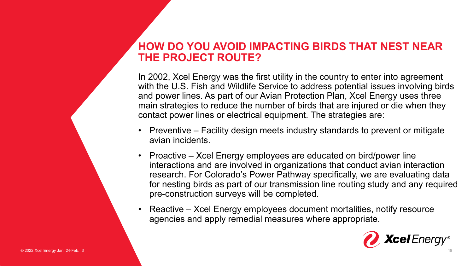## **HOW DO YOU AVOID IMPACTING BIRDS THAT NEST NEAR THE PROJECT ROUTE?**

In 2002, Xcel Energy was the first utility in the country to enter into agreement with the U.S. Fish and Wildlife Service to address potential issues involving birds and power lines. As part of our Avian Protection Plan, Xcel Energy uses three main strategies to reduce the number of birds that are injured or die when they contact power lines or electrical equipment. The strategies are:

- Preventive Facility design meets industry standards to prevent or mitigate avian incidents.
- Proactive Xcel Energy employees are educated on bird/power line interactions and are involved in organizations that conduct avian interaction research. For Colorado's Power Pathway specifically, we are evaluating data for nesting birds as part of our transmission line routing study and any required pre-construction surveys will be completed.
- Reactive Xcel Energy employees document mortalities, notify resource agencies and apply remedial measures where appropriate.

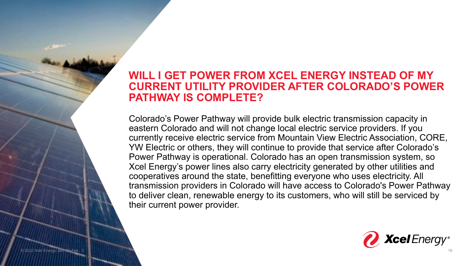# **WILL I GET POWER FROM XCEL ENERGY INSTEAD OF MY CURRENT UTILITY PROVIDER AFTER COLORADO'S POWER PATHWAY IS COMPLETE?**

Colorado's Power Pathway will provide bulk electric transmission capacity in eastern Colorado and will not change local electric service providers. If you currently receive electric service from Mountain View Electric Association, CORE, YW Electric or others, they will continue to provide that service after Colorado's Power Pathway is operational. Colorado has an open transmission system, so Xcel Energy's power lines also carry electricity generated by other utilities and cooperatives around the state, benefitting everyone who uses electricity. All transmission providers in Colorado will have access to Colorado's Power Pathway to deliver clean, renewable energy to its customers, who will still be serviced by their current power provider.